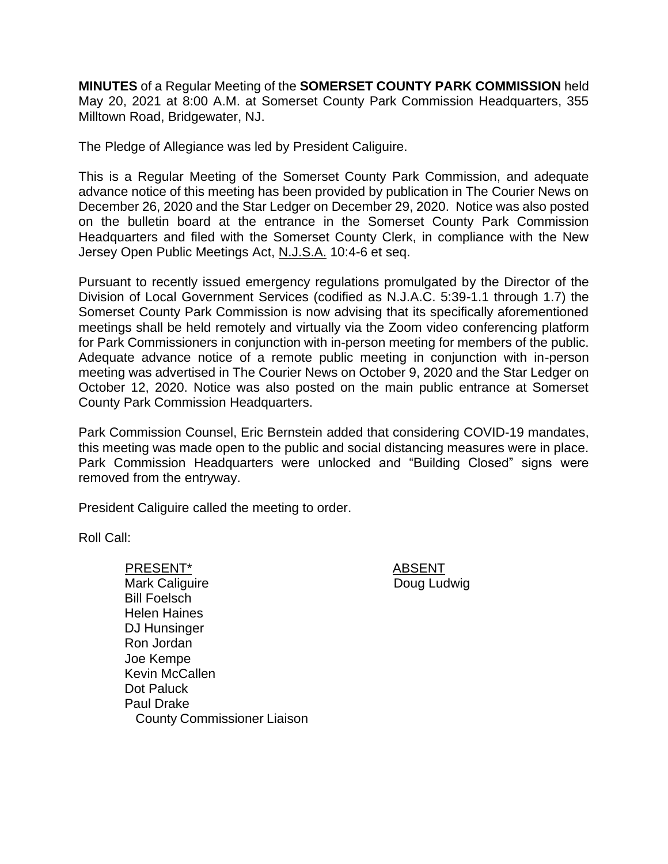**MINUTES** of a Regular Meeting of the **SOMERSET COUNTY PARK COMMISSION** held May 20, 2021 at 8:00 A.M. at Somerset County Park Commission Headquarters, 355 Milltown Road, Bridgewater, NJ.

The Pledge of Allegiance was led by President Caliguire.

This is a Regular Meeting of the Somerset County Park Commission, and adequate advance notice of this meeting has been provided by publication in The Courier News on December 26, 2020 and the Star Ledger on December 29, 2020. Notice was also posted on the bulletin board at the entrance in the Somerset County Park Commission Headquarters and filed with the Somerset County Clerk, in compliance with the New Jersey Open Public Meetings Act, N.J.S.A. 10:4-6 et seq.

Pursuant to recently issued emergency regulations promulgated by the Director of the Division of Local Government Services (codified as N.J.A.C. 5:39-1.1 through 1.7) the Somerset County Park Commission is now advising that its specifically aforementioned meetings shall be held remotely and virtually via the Zoom video conferencing platform for Park Commissioners in conjunction with in-person meeting for members of the public. Adequate advance notice of a remote public meeting in conjunction with in-person meeting was advertised in The Courier News on October 9, 2020 and the Star Ledger on October 12, 2020. Notice was also posted on the main public entrance at Somerset County Park Commission Headquarters.

Park Commission Counsel, Eric Bernstein added that considering COVID-19 mandates, this meeting was made open to the public and social distancing measures were in place. Park Commission Headquarters were unlocked and "Building Closed" signs were removed from the entryway.

President Caliguire called the meeting to order.

Roll Call:

PRESENT\* ABSENT Mark Caliguire Bill Foelsch Helen Haines DJ Hunsinger Ron Jordan Joe Kempe Kevin McCallen Dot Paluck Paul Drake County Commissioner Liaison

Doug Ludwig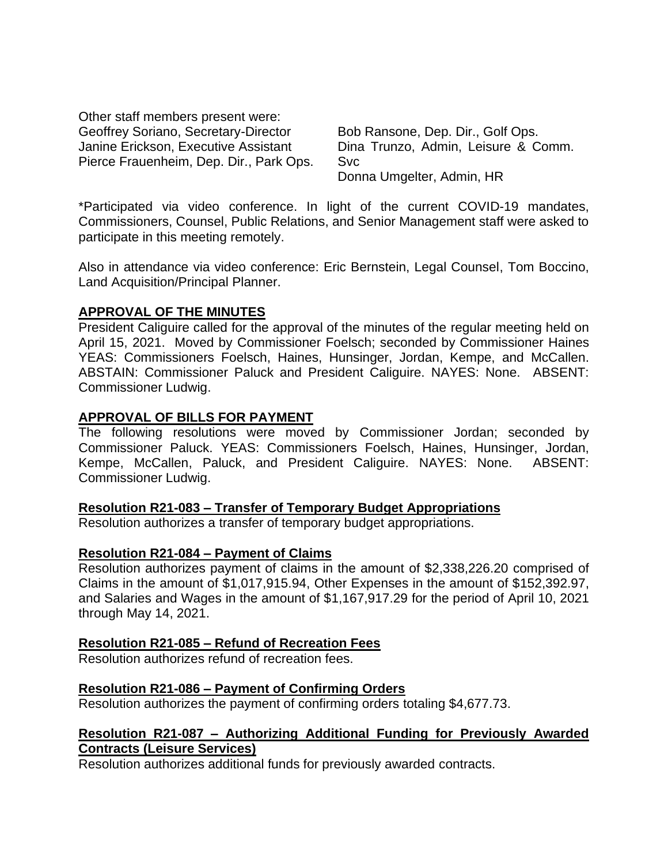Other staff members present were: Geoffrey Soriano, Secretary-Director Janine Erickson, Executive Assistant Pierce Frauenheim, Dep. Dir., Park Ops.

Bob Ransone, Dep. Dir., Golf Ops. Dina Trunzo, Admin, Leisure & Comm. Svc Donna Umgelter, Admin, HR

\*Participated via video conference. In light of the current COVID-19 mandates, Commissioners, Counsel, Public Relations, and Senior Management staff were asked to participate in this meeting remotely.

Also in attendance via video conference: Eric Bernstein, Legal Counsel, Tom Boccino, Land Acquisition/Principal Planner.

#### **APPROVAL OF THE MINUTES**

President Caliguire called for the approval of the minutes of the regular meeting held on April 15, 2021. Moved by Commissioner Foelsch; seconded by Commissioner Haines YEAS: Commissioners Foelsch, Haines, Hunsinger, Jordan, Kempe, and McCallen. ABSTAIN: Commissioner Paluck and President Caliguire. NAYES: None. ABSENT: Commissioner Ludwig.

#### **APPROVAL OF BILLS FOR PAYMENT**

The following resolutions were moved by Commissioner Jordan; seconded by Commissioner Paluck. YEAS: Commissioners Foelsch, Haines, Hunsinger, Jordan, Kempe, McCallen, Paluck, and President Caliguire. NAYES: None. ABSENT: Commissioner Ludwig.

#### **Resolution R21-083 – Transfer of Temporary Budget Appropriations**

Resolution authorizes a transfer of temporary budget appropriations.

#### **Resolution R21-084 – Payment of Claims**

Resolution authorizes payment of claims in the amount of \$2,338,226.20 comprised of Claims in the amount of \$1,017,915.94, Other Expenses in the amount of \$152,392.97, and Salaries and Wages in the amount of \$1,167,917.29 for the period of April 10, 2021 through May 14, 2021.

### **Resolution R21-085 – Refund of Recreation Fees**

Resolution authorizes refund of recreation fees.

### **Resolution R21-086 – Payment of Confirming Orders**

Resolution authorizes the payment of confirming orders totaling \$4,677.73.

### **Resolution R21-087 – Authorizing Additional Funding for Previously Awarded Contracts (Leisure Services)**

Resolution authorizes additional funds for previously awarded contracts.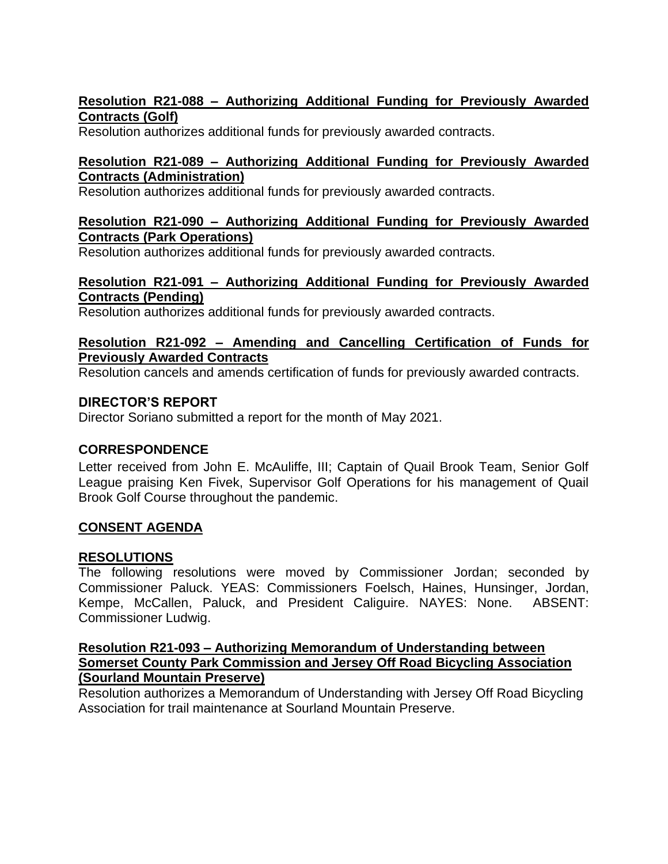## **Resolution R21-088 – Authorizing Additional Funding for Previously Awarded Contracts (Golf)**

Resolution authorizes additional funds for previously awarded contracts.

## **Resolution R21-089 – Authorizing Additional Funding for Previously Awarded Contracts (Administration)**

Resolution authorizes additional funds for previously awarded contracts.

### **Resolution R21-090 – Authorizing Additional Funding for Previously Awarded Contracts (Park Operations)**

Resolution authorizes additional funds for previously awarded contracts.

# **Resolution R21-091 – Authorizing Additional Funding for Previously Awarded Contracts (Pending)**

Resolution authorizes additional funds for previously awarded contracts.

## **Resolution R21-092 – Amending and Cancelling Certification of Funds for Previously Awarded Contracts**

Resolution cancels and amends certification of funds for previously awarded contracts.

# **DIRECTOR'S REPORT**

Director Soriano submitted a report for the month of May 2021.

# **CORRESPONDENCE**

Letter received from John E. McAuliffe, III; Captain of Quail Brook Team, Senior Golf League praising Ken Fivek, Supervisor Golf Operations for his management of Quail Brook Golf Course throughout the pandemic.

# **CONSENT AGENDA**

# **RESOLUTIONS**

The following resolutions were moved by Commissioner Jordan; seconded by Commissioner Paluck. YEAS: Commissioners Foelsch, Haines, Hunsinger, Jordan, Kempe, McCallen, Paluck, and President Caliguire. NAYES: None. ABSENT: Commissioner Ludwig.

### **Resolution R21-093 – Authorizing Memorandum of Understanding between Somerset County Park Commission and Jersey Off Road Bicycling Association (Sourland Mountain Preserve)**

Resolution authorizes a Memorandum of Understanding with Jersey Off Road Bicycling Association for trail maintenance at Sourland Mountain Preserve.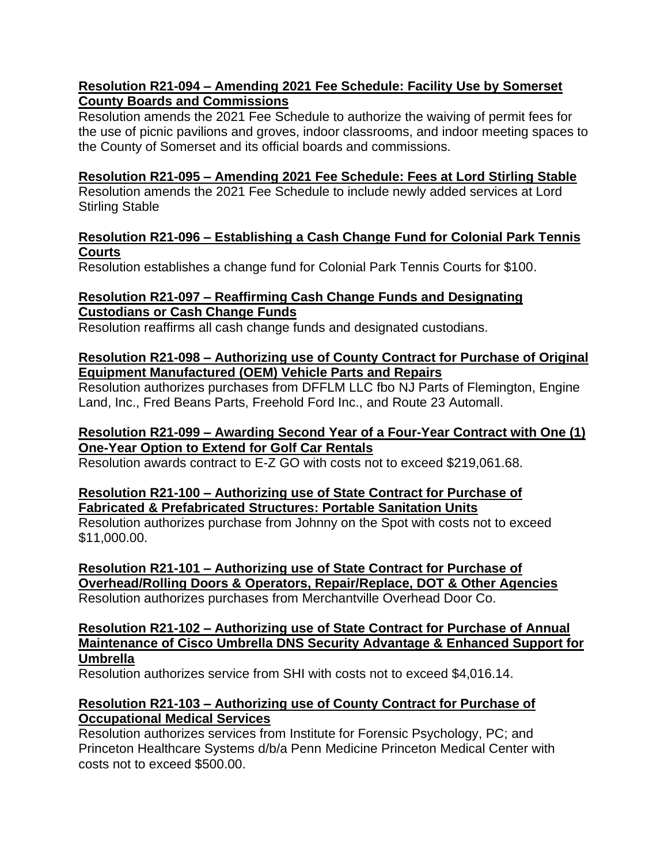## **Resolution R21-094 – Amending 2021 Fee Schedule: Facility Use by Somerset County Boards and Commissions**

Resolution amends the 2021 Fee Schedule to authorize the waiving of permit fees for the use of picnic pavilions and groves, indoor classrooms, and indoor meeting spaces to the County of Somerset and its official boards and commissions.

## **Resolution R21-095 – Amending 2021 Fee Schedule: Fees at Lord Stirling Stable**

Resolution amends the 2021 Fee Schedule to include newly added services at Lord Stirling Stable

## **Resolution R21-096 – Establishing a Cash Change Fund for Colonial Park Tennis Courts**

Resolution establishes a change fund for Colonial Park Tennis Courts for \$100.

# **Resolution R21-097 – Reaffirming Cash Change Funds and Designating Custodians or Cash Change Funds**

Resolution reaffirms all cash change funds and designated custodians.

## **Resolution R21-098 – Authorizing use of County Contract for Purchase of Original Equipment Manufactured (OEM) Vehicle Parts and Repairs**

Resolution authorizes purchases from DFFLM LLC fbo NJ Parts of Flemington, Engine Land, Inc., Fred Beans Parts, Freehold Ford Inc., and Route 23 Automall.

## **Resolution R21-099 – Awarding Second Year of a Four-Year Contract with One (1) One-Year Option to Extend for Golf Car Rentals**

Resolution awards contract to E-Z GO with costs not to exceed \$219,061.68.

### **Resolution R21-100 – Authorizing use of State Contract for Purchase of Fabricated & Prefabricated Structures: Portable Sanitation Units**

Resolution authorizes purchase from Johnny on the Spot with costs not to exceed \$11,000.00.

**Resolution R21-101 – Authorizing use of State Contract for Purchase of Overhead/Rolling Doors & Operators, Repair/Replace, DOT & Other Agencies** Resolution authorizes purchases from Merchantville Overhead Door Co.

#### **Resolution R21-102 – Authorizing use of State Contract for Purchase of Annual Maintenance of Cisco Umbrella DNS Security Advantage & Enhanced Support for Umbrella**

Resolution authorizes service from SHI with costs not to exceed \$4,016.14.

# **Resolution R21-103 – Authorizing use of County Contract for Purchase of Occupational Medical Services**

Resolution authorizes services from Institute for Forensic Psychology, PC; and Princeton Healthcare Systems d/b/a Penn Medicine Princeton Medical Center with costs not to exceed \$500.00.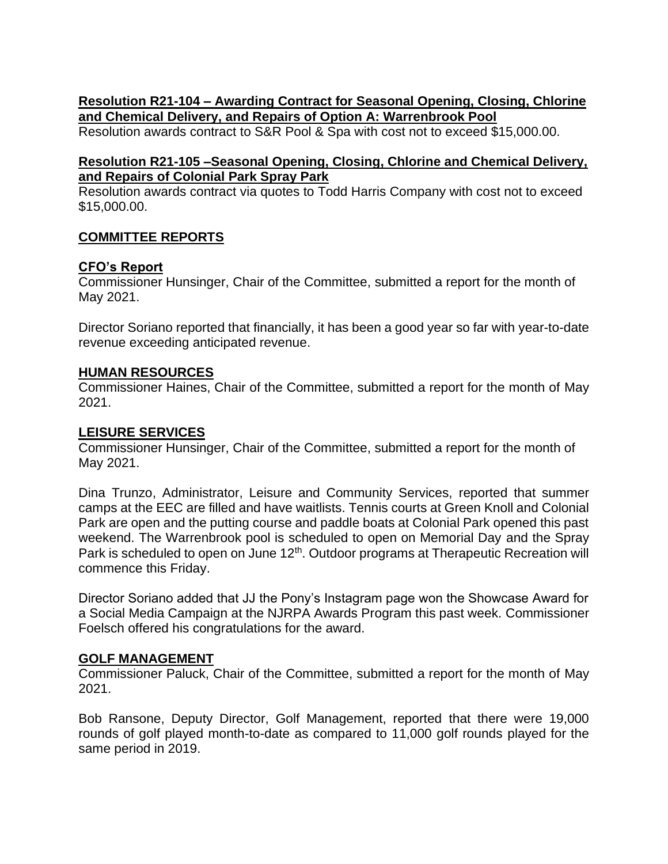## **Resolution R21-104 – Awarding Contract for Seasonal Opening, Closing, Chlorine and Chemical Delivery, and Repairs of Option A: Warrenbrook Pool**

Resolution awards contract to S&R Pool & Spa with cost not to exceed \$15,000.00.

### **Resolution R21-105 –Seasonal Opening, Closing, Chlorine and Chemical Delivery, and Repairs of Colonial Park Spray Park**

Resolution awards contract via quotes to Todd Harris Company with cost not to exceed \$15,000.00.

# **COMMITTEE REPORTS**

### **CFO's Report**

Commissioner Hunsinger, Chair of the Committee, submitted a report for the month of May 2021.

Director Soriano reported that financially, it has been a good year so far with year-to-date revenue exceeding anticipated revenue.

#### **HUMAN RESOURCES**

Commissioner Haines, Chair of the Committee, submitted a report for the month of May 2021.

#### **LEISURE SERVICES**

Commissioner Hunsinger, Chair of the Committee, submitted a report for the month of May 2021.

Dina Trunzo, Administrator, Leisure and Community Services, reported that summer camps at the EEC are filled and have waitlists. Tennis courts at Green Knoll and Colonial Park are open and the putting course and paddle boats at Colonial Park opened this past weekend. The Warrenbrook pool is scheduled to open on Memorial Day and the Spray Park is scheduled to open on June 12<sup>th</sup>. Outdoor programs at Therapeutic Recreation will commence this Friday.

Director Soriano added that JJ the Pony's Instagram page won the Showcase Award for a Social Media Campaign at the NJRPA Awards Program this past week. Commissioner Foelsch offered his congratulations for the award.

#### **GOLF MANAGEMENT**

Commissioner Paluck, Chair of the Committee, submitted a report for the month of May 2021.

Bob Ransone, Deputy Director, Golf Management, reported that there were 19,000 rounds of golf played month-to-date as compared to 11,000 golf rounds played for the same period in 2019.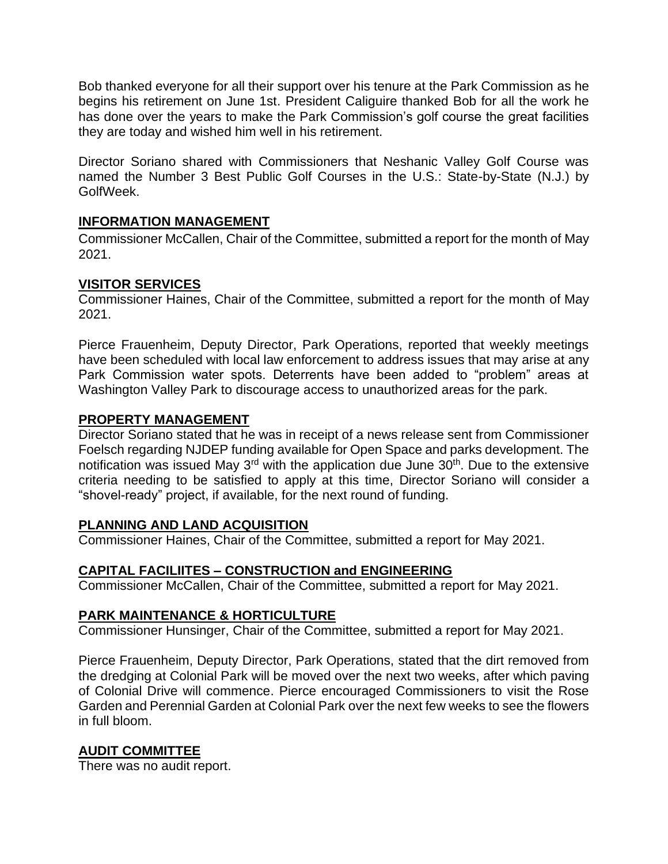Bob thanked everyone for all their support over his tenure at the Park Commission as he begins his retirement on June 1st. President Caliguire thanked Bob for all the work he has done over the years to make the Park Commission's golf course the great facilities they are today and wished him well in his retirement.

Director Soriano shared with Commissioners that Neshanic Valley Golf Course was named the Number 3 Best Public Golf Courses in the U.S.: State-by-State (N.J.) by GolfWeek.

### **INFORMATION MANAGEMENT**

Commissioner McCallen, Chair of the Committee, submitted a report for the month of May 2021.

### **VISITOR SERVICES**

Commissioner Haines, Chair of the Committee, submitted a report for the month of May 2021.

Pierce Frauenheim, Deputy Director, Park Operations, reported that weekly meetings have been scheduled with local law enforcement to address issues that may arise at any Park Commission water spots. Deterrents have been added to "problem" areas at Washington Valley Park to discourage access to unauthorized areas for the park.

### **PROPERTY MANAGEMENT**

Director Soriano stated that he was in receipt of a news release sent from Commissioner Foelsch regarding NJDEP funding available for Open Space and parks development. The notification was issued May 3<sup>rd</sup> with the application due June 30<sup>th</sup>. Due to the extensive criteria needing to be satisfied to apply at this time, Director Soriano will consider a "shovel-ready" project, if available, for the next round of funding.

# **PLANNING AND LAND ACQUISITION**

Commissioner Haines, Chair of the Committee, submitted a report for May 2021.

# **CAPITAL FACILIITES – CONSTRUCTION and ENGINEERING**

Commissioner McCallen, Chair of the Committee, submitted a report for May 2021.

# **PARK MAINTENANCE & HORTICULTURE**

Commissioner Hunsinger, Chair of the Committee, submitted a report for May 2021.

Pierce Frauenheim, Deputy Director, Park Operations, stated that the dirt removed from the dredging at Colonial Park will be moved over the next two weeks, after which paving of Colonial Drive will commence. Pierce encouraged Commissioners to visit the Rose Garden and Perennial Garden at Colonial Park over the next few weeks to see the flowers in full bloom.

# **AUDIT COMMITTEE**

There was no audit report.